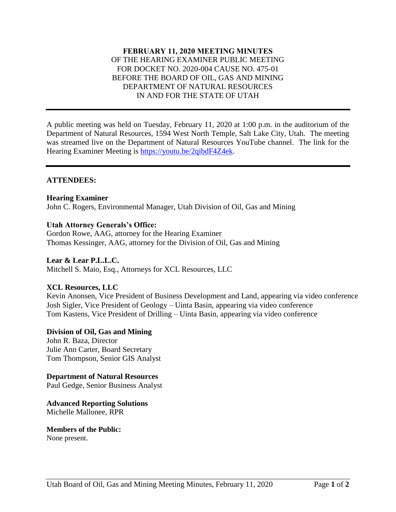# **FEBRUARY 11, 2020 MEETING MINUTES** OF THE HEARING EXAMINER PUBLIC MEETING FOR DOCKET NO. 2020-004 CAUSE NO. 475-01 BEFORE THE BOARD OF OIL, GAS AND MINING DEPARTMENT OF NATURAL RESOURCES IN AND FOR THE STATE OF UTAH

A public meeting was held on Tuesday, February 11, 2020 at 1:00 p.m. in the auditorium of the Department of Natural Resources, 1594 West North Temple, Salt Lake City, Utah. The meeting was streamed live on the Department of Natural Resources YouTube channel. The link for the Hearing Examiner Meeting is [https://youtu.be/2qibdF4Z4ek.](https://youtu.be/2qibdF4Z4ek)

### **ATTENDEES:**

# **Hearing Examiner**

John C. Rogers, Environmental Manager, Utah Division of Oil, Gas and Mining

# **Utah Attorney Generals's Office:**

Gordon Rowe, AAG, attorney for the Hearing Examiner Thomas Kessinger, AAG, attorney for the Division of Oil, Gas and Mining

#### **Lear & Lear P.L.L.C.**

Mitchell S. Maio, Esq., Attorneys for XCL Resources, LLC

# **XCL Resources, LLC**

Kevin Anonsen, Vice President of Business Development and Land, appearing via video conference Josh Sigler, Vice President of Geology – Uinta Basin, appearing via video conference Tom Kastens, Vice President of Drilling – Uinta Basin, appearing via video conference

#### **Division of Oil, Gas and Mining**

John R. Baza, Director Julie Ann Carter, Board Secretary Tom Thompson, Senior GIS Analyst

# **Department of Natural Resources**

Paul Gedge, Senior Business Analyst

**Advanced Reporting Solutions** Michelle Mallonee, RPR

**Members of the Public:**  None present.